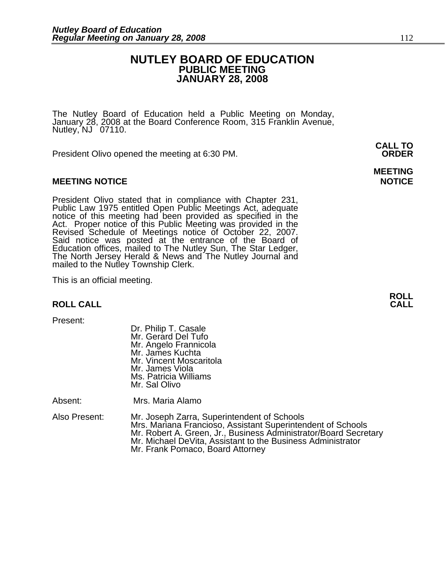### **NUTLEY BOARD OF EDUCATION PUBLIC MEETING JANUARY 28, 2008**

The Nutley Board of Education held a Public Meeting on Monday, January 28, 2008 at the Board Conference Room, 315 Franklin Avenue, Nutley,  $NJ$  07110.

 **CALL TO**  President Olivo opened the meeting at 6:30 PM. **ORDER**

#### **MEETING NOTICE NOTICE REPORTS AND RESIDENT ASSAULT ASSAULT AND REPORT OF A SECOND PROPERTY OF A SECOND PROPERTY**

President Olivo stated that in compliance with Chapter 231, Public Law 1975 entitled Open Public Meetings Act, adequate notice of this meeting had been provided as specified in the Act. Proper notice of this Public Meeting Said notice was posted at the entrance of the Board of Education offices, mailed to The Nutley Sun, The Star Ledger,<br>The North Jersey Herald & News and The Nutley Journal and<br>mailed to the Nutley Township Clerk.

This is an official meeting.

#### **ROLL CALL**

Present:

 Dr. Philip T. Casale Mr. Gerard Del Tufo Mr. Angelo Frannicola Mr. James Kuchta Mr. Vincent Moscaritola Mr. James Viola Ms. Patricia Williams Mr. Sal Olivo

Absent: Mrs. Maria Alamo

Also Present: Mr. Joseph Zarra, Superintendent of Schools Mr. Robert A. Green, Jr., Business Administrator/Board Secretary Mr. Michael DeVita, Assistant to the Business Administrator<br>Mr. Frank Pomaco, Board Attorney

**MEETING** 

**ROLL**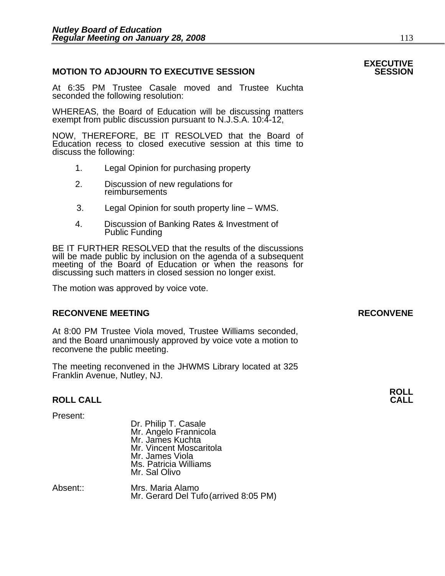#### **MOTION TO ADJOURN TO EXECUTIVE SESSION**

At 6:35 PM Trustee Casale moved and Trustee Kuchta seconded the following resolution:

WHEREAS, the Board of Education will be discussing matters exempt from public discussion pursuant to N.J.S.A. 10:4-12,

NOW, THEREFORE, BE IT RESOLVED that the Board of Education recess to closed executive session at this time to discuss the following:

- 1. Legal Opinion for purchasing property
- 2. Discussion of new regulations for reimbursements
- 3. Legal Opinion for south property line WMS.
- 4. Discussion of Banking Rates & Investment of Public Funding

BE IT FURTHER RESOLVED that the results of the discussions will be made public by inclusion on the agenda of a subsequent meeting of the Board of Education or when the reasons for discussing such matters in closed session no longer exist.

 The motion was approved by voice vote.

### RECONVENE MEETING **RECONVENE**

At 8:00 PM Trustee Viola moved, Trustee Williams seconded, and the Board unanimously approved by voice vote a motion to reconvene the public meeting.

The meeting reconvened in the JHWMS Library located at 325 Franklin Avenue, Nutley, NJ.

#### **ROLL CALL**

Present:

| . ושטשונ | Dr. Philip T. Casale<br>Mr. Angelo Frannicola<br>Mr. James Kuchta<br>Mr. Vincent Moscaritola<br>Mr. James Viola<br>Ms. Patricia Williams<br>Mr. Sal Olivo |  |
|----------|-----------------------------------------------------------------------------------------------------------------------------------------------------------|--|
| A        | $M_{\text{max}}$ , $M_{\text{min}}$ , $M_{\text{max}}$                                                                                                    |  |

Absent:: Mrs. Maria Alamo Mr. Gerard Del Tufo (arrived 8:05 PM)

# **EXECUTIVE**

**ROLL**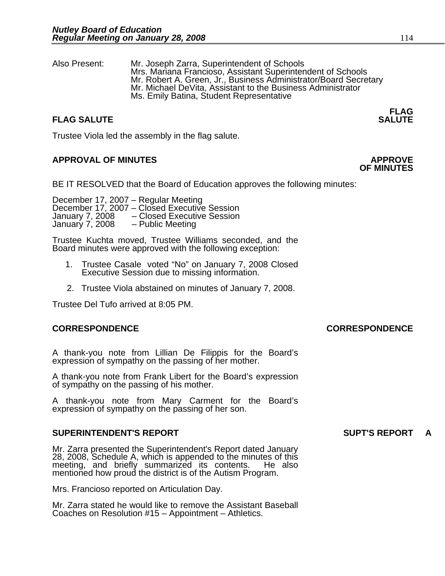Also Present: Mr. Joseph Zarra, Superintendent of Schools Mr. Robert A. Green, Jr., Business Administrator/Board Secretary<br>Mr. Michael DeVita, Assistant to the Business Administrator Ms. Emily Batina, Student Representative

#### **FLAG FLAG SALUTE** SALUTE SALUTE SALUTE SALUTE SALUTE

Trustee Viola led the assembly in the flag salute.

### **APPROVAL OF MINUTES APPROVE**

BE IT RESOLVED that the Board of Education approves the following minutes:

 December 17, 2007 – Regular Meeting December 17, 2007 – Closed Executive Session January 7, 2008 – Closed Executive Session<br>January 7, 2008 – Public Meeting January 7, 2008

> Trustee Kuchta moved, Trustee Williams seconded, and the Board minutes were approved with the following exception:

- 1. Trustee Casale voted "No" on January 7, 2008 Closed Executive Session due to missing information.
- 2. Trustee Viola abstained on minutes of January 7, 2008.

Trustee Del Tufo arrived at 8:05 PM.

#### **CORRESPONDENCE CORRESPONDENCE**

A thank-you note from Lillian De Filippis for the Board's expression of sympathy on the passing of her mother.

A thank-you note from Frank Libert for the Board's expression of sympathy on the passing of his mother.

A thank-you note from Mary Carment for the Board's expression of sympathy on the passing of her son.

#### **SUPERINTENDENT'S REPORT SUPT'S REPORT A**

Mr. Zarra presented the Superintendent's Report dated January 28, 2008, Schedule A, which is appended to the minutes of this meeting, and briefly summarized its contents. He also mentioned how proud the district is of the Autism Program.

Mrs. Francioso reported on Articulation Day.

Mr. Zarra stated he would like to remove the Assistant Baseball Coaches on Resolution #15 – Appointment – Athletics.

# **OF MINUTES**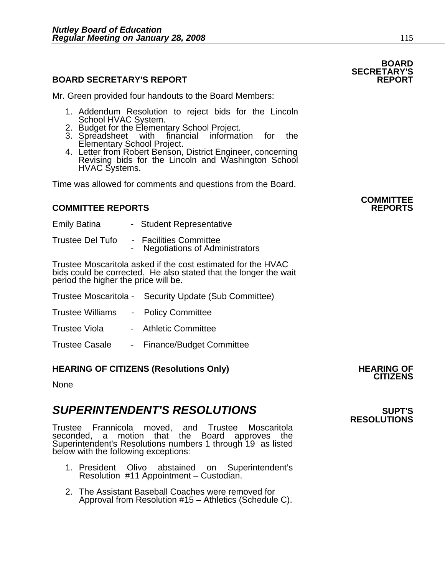### **BOARD SECRETARY'S REPORT**

Mr. Green provided four handouts to the Board Members:

- 1. Addendum Resolution to reject bids for the Lincoln<br>School HVAC System.<br>2. Budget for the Elementary School Project.<br>3. Spreadsheet with financial information for the
- 
- 
- 3. Spreadsheet with financial information for the Elementary School Project. 4. Letter from Robert Benson, District Engineer, concerning Revising bids for the Lincoln and Washington School HVAC Systems.

Time was allowed for comments and questions from the Board.

#### **COMMITTEE REPORTS REPORTS**

- Emily Batina Student Representative
- Trustee Del Tufo Facilities Committee Negotiations of Administrators

Trustee Moscaritola asked if the cost estimated for the HVAC bids could be corrected. He also stated that the longer the wait period the higher the price will be.

- Trustee Moscaritola Security Update (Sub Committee)
- Trustee Williams Policy Committee
- Trustee Viola Athletic Committee
- Trustee Casale Finance/Budget Committee

### **HEARING OF CITIZENS (Resolutions Only) HEARING OF CITIZENS**

None

### **SUPERINTENDENT'S RESOLUTIONS EXAMPLE ASSESSED ASSESSED ASSESSED ASSESSED ASSESSED ASSESSED ASSESSED ASSESSED ASSESSED ASSESSED ASSESSED ASSESSED ASSESSED ASSESSED ASSESSED ASSESSED ASSESSED ASSESSED ASSESSED ASSESSED AS**

Trustee Frannicola moved, and Trustee Moscaritola seconded, a motion that the Board approves the Superintendent's Resolutions numbers 1 through 19 as listed below with the following exceptions:

- 1. President Olivo abstained on Superintendent's Resolution #11 Appointment Custodian.
- 2. The Assistant Baseball Coaches were removed for Approval from Resolution #15 – Athletics (Schedule C).

**COMMITTEE** 

# **RESOLUTIONS**

### **BOARD SECRETARY'S**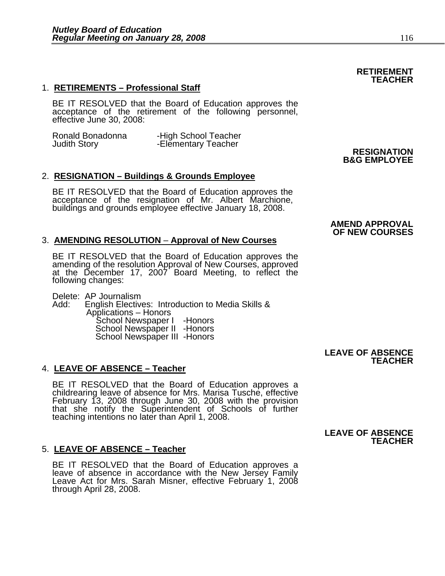#### 1. **RETIREMENTS – Professional Staff**

BE IT RESOLVED that the Board of Education approves the acceptance of the retirement of the following personnel, effective June 30, 2008:

| Ronald Bonadonna    | -High School Teacher |                    |
|---------------------|----------------------|--------------------|
| <b>Judith Story</b> | -Elementary Teacher  |                    |
|                     |                      | <b>RESIGNATION</b> |

#### 2. **RESIGNATION – Buildings & Grounds Employee**

BE IT RESOLVED that the Board of Education approves the acceptance of the resignation of Mr. Albert Marchione, buildings and grounds employee effective January 18, 2008.

#### 3. **AMENDING RESOLUTION** – **Approval of New Courses**

BE IT RESOLVED that the Board of Education approves the amending of the resolution Approval of New Courses, approved at the December 17, 2007 Board Meeting, to reflect the following changes:

Delete: AP Journalism<br>Add: English Elective English Electives: Introduction to Media Skills &<br>Applications – Honors<br>School Newspaper II -Honors<br>School Newspaper III -Honors<br>School Newspaper III -Honors

#### 4. **LEAVE OF ABSENCE – Teacher**

BE IT RESOLVED that the Board of Education approves a childrearing leave of absence for Mrs. Marisa Tusche, effective February 13, 2008 through June 30, 2008 with the provision that she notify the Superintendent of Schools of further teaching intentions no later than April 1, 2008.

#### 5. **LEAVE OF ABSENCE – Teacher**

BE IT RESOLVED that the Board of Education approves a leave of absence in accordance with the New Jersey Family Leave Act for Mrs. Sarah Misner, effective February 1, 2008 through April 28, 2008.

#### **AMEND APPROVAL OF NEW COURSES**

**B&G EMPLOYEE**

#### **LEAVE OF ABSENCE TEACHER**

#### **LEAVE OF ABSENCE TEACHER**

#### **RETIREMENT TEACHER**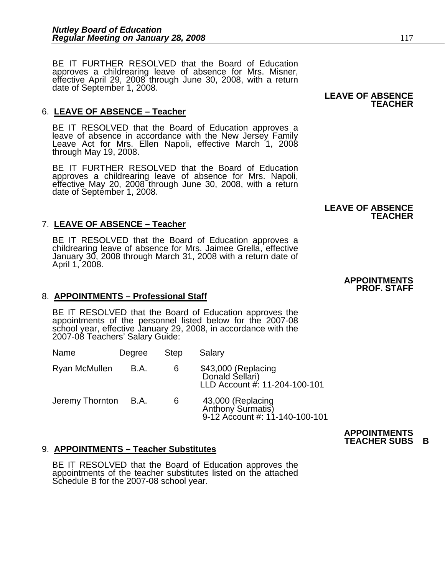BE IT FURTHER RESOLVED that the Board of Education approves a childrearing leave of absence for Mrs. Misner, effective April 29, 2008 through June 30, 2008, with a return date of September 1, 2008.

#### 6. **LEAVE OF ABSENCE – Teacher**

BE IT RESOLVED that the Board of Education approves a leave of absence in accordance with the New Jersey Family Leave Act for Mrs. Ellen Napoli, effective March 1, 2008 through May 19, 2008.

BE IT FURTHER RESOLVED that the Board of Education approves a childrearing leave of absence for Mrs. Napoli, effective May 20, 2008 through June 30, 2008, with a return date of September 1, 2008.

#### 7. **LEAVE OF ABSENCE – Teacher**

BE IT RESOLVED that the Board of Education approves a childrearing leave of absence for Mrs. Jaimee Grella, effective January 30, 2008 through March 31, 2008 with a return date of April 1, 2008.

#### 8. **APPOINTMENTS – Professional Staff**

BE IT RESOLVED that the Board of Education approves the appointments of the personnel listed below for the 2007-08 school year, effective January 29, 2008, in accordance with the 2007-08 Teachers' Salary Guide:

| Name            | Degree | <b>Step</b> | Salary                                                                   |
|-----------------|--------|-------------|--------------------------------------------------------------------------|
| Ryan McMullen   | B.A.   | 6           | \$43,000 (Replacing<br>Donald Sellari)<br>LLD Account #: 11-204-100-101  |
| Jeremy Thornton | B.A.   | 6           | 43,000 (Replacing<br>Anthony Surmatis)<br>9-12 Account #: 11-140-100-101 |

### 9. **APPOINTMENTS – Teacher Substitutes**

BE IT RESOLVED that the Board of Education approves the appointments of the teacher substitutes listed on the attached Schedule B for the 2007-08 school year.

# **TEACHER**

#### **LEAVE OF ABSENCE TEACHER**

#### **APPOINTMENTS PROF. STAFF**

 **APPOINTMENTS TEACHER SUBS B**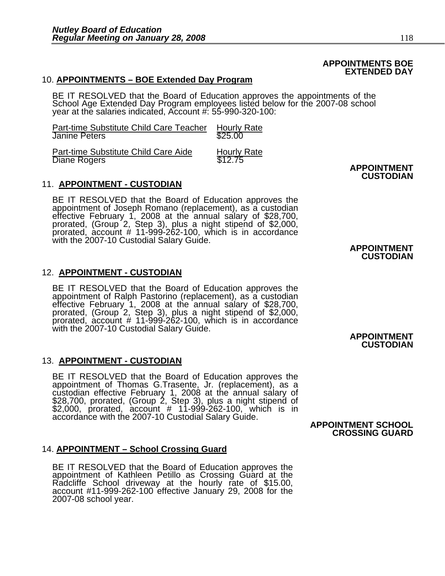#### **APPOINTMENTS BOE EXTENDED DAY**

#### 10. **APPOINTMENTS – BOE Extended Day Program**

BE IT RESOLVED that the Board of Education approves the appointments of the School Age Extended Day Program employees listed below for the 2007-08 school year at the salaries indicated, Account #: 55-990-320-100:

| Part-time Substitute Child Care Teacher<br><b>Janine Peters</b> | <b>Hourly Rate</b><br>\$25.00 |                    |
|-----------------------------------------------------------------|-------------------------------|--------------------|
| Part-time Substitute Child Care Aide<br>Diane Rogers            | <b>Hourly Rate</b><br>\$12.75 | <b>APPOINTMENT</b> |

#### 11. **APPOINTMENT - CUSTODIAN**

BE IT RESOLVED that the Board of Education approves the appointment of Joseph Romano (replacement), as a custodian effective February 1, 2008 at the annual salary of \$28,700, prorated, (Group 2, Step 3), plus a night stipe with the 2007-10 Custodial Salary Guide.<br> **APPOINTMENT** 

#### 12. **APPOINTMENT - CUSTODIAN**

BE IT RESOLVED that the Board of Education approves the appointment of Ralph Pastorino (replacement), as a custodian effective February 1, 2008 at the annual salary of \$28,700, prorated, (Group 2, Step 3), plus a night sti with the 2007-10 Custodial Salary Guide.<br>**APPOINTMENT** 

#### 13. **APPOINTMENT - CUSTODIAN**

BE IT RESOLVED that the Board of Education approves the<br>appointment of Thomas G.Trasente, Jr. (replacement), as a<br>custodian effective February 1, 2008 at the annual salary of<br>\$28,700, prorated, (Group 2, Step 3), plus a ni \$2,000, prorated, account # 11-999-262-100, which is in accordance with the 2007-10 Custodial Salary Guide. **APPOINTMENT SCHOOL** 

#### 14. **APPOINTMENT – School Crossing Guard**

BE IT RESOLVED that the Board of Education approves the<br>appointment of Kathleen Petillo as Crossing Guard at the<br>Radcliffe School driveway at the hourly rate of \$15.00, account #11-999-262-100 effective January 29, 2008 for the<br>2007-08 school year. **CUSTODIAN**

## **CUSTODIAN**

## **CUSTODIAN**

**CROSSING GUARD**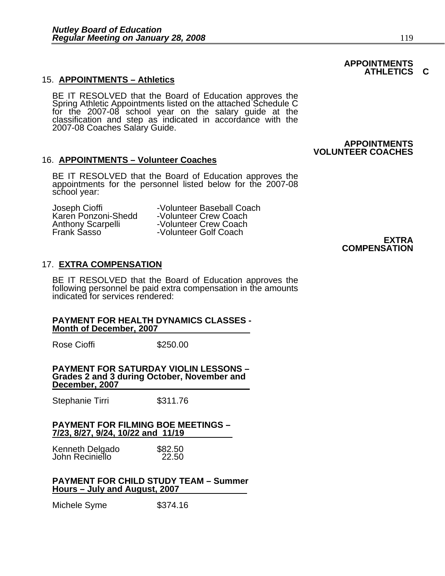#### 15. **APPOINTMENTS – Athletics**

BE IT RESOLVED that the Board of Education approves the Spring Athletic Appointments listed on the attached Schedule C for the 2007-08 school year on the salary guide at the classification and step as indicated in accordance with the 2007-08 Coaches Salary Guide.

#### 16. **APPOINTMENTS – Volunteer Coaches**

BE IT RESOLVED that the Board of Education approves the appointments for the personnel listed below for the 2007-08 school year:

Joseph Cioffi -Volunteer Baseball Coach<br>Karen Ponzoni-Shedd -Volunteer Crew Coach Karen Ponzoni-Shedd -Volunteer Crew Coach Anthony Scarpelli - Volunteer Crew Coach<br>
Frank Sasso - Volunteer Golf Coach -Volunteer Golf Coach

#### **EXTRA COMPENSATION**

#### 17. **EXTRA COMPENSATION**

BE IT RESOLVED that the Board of Education approves the following personnel be paid extra compensation in the amounts indicated for services rendered:

#### **PAYMENT FOR HEALTH DYNAMICS CLASSES - Month of December, 2007**

Rose Cioffi **\$250.00** 

**PAYMENT FOR SATURDAY VIOLIN LESSONS – Grades 2 and 3 during October, November and December, 2007**

Stephanie Tirri \$311.76

#### **PAYMENT FOR FILMING BOE MEETINGS – 7/23, 8/27, 9/24, 10/22 and 11/19**

| Kenneth Delgado | \$82.50 |
|-----------------|---------|
| John Reciniello | 22.50   |

#### **PAYMENT FOR CHILD STUDY TEAM – Summer Hours – July and August, 2007**

Michele Syme \$374.16

#### **APPOINTMENTS ATHLETICS C**

 **APPOINTMENTS** 

**VOLUNTEER COACHES**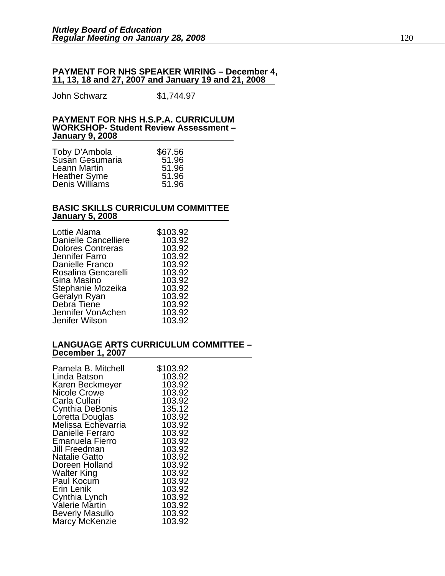#### **PAYMENT FOR NHS SPEAKER WIRING – December 4, 11, 13, 18 and 27, 2007 and January 19 and 21, 2008**

John Schwarz \$1,744.97

#### **PAYMENT FOR NHS H.S.P.A. CURRICULUM WORKSHOP- Student Review Assessment – January 9, 2008**

| Toby D'Ambola                  | \$67.56 |
|--------------------------------|---------|
| Susán Gesumaria                | 51.96   |
| Leann Martin                   | 51.96   |
| Heather Syme<br>Denis Williams | 51.96   |
|                                | 51.96   |

#### **BASIC SKILLS CURRICULUM COMMITTEE January 5, 2008**

| \$103.92 |
|----------|
| 103.92   |
| 103.92   |
| 103.92   |
| 103.92   |
| 103.92   |
| 103.92   |
| 103.92   |
| 103.92   |
| 103.92   |
| 103.92   |
| 103.92   |
|          |

#### **LANGUAGE ARTS CURRICULUM COMMITTEE – December 1, 2007**

| Pamela B. Mitchell      | \$103.92 |
|-------------------------|----------|
| Linda Batson            | 103.92   |
| Karen Beckmeyer         | 103.92   |
| <b>Nicole Crowe</b>     | 103.92   |
| Carla Cullari           | 103.92   |
| Cynthia DeBonis         | 135.12   |
| Loretta Douglas         | 103.92   |
| Melissa Echevarria      | 103.92   |
| <b>Danielle Ferraro</b> | 103.92   |
| <b>Emanuela Fierro</b>  | 103.92   |
| Jill Freedman           | 103.92   |
| <b>Natalie Gatto</b>    | 103.92   |
| Doreen Holland          | 103.92   |
| <b>Walter King</b>      | 103.92   |
| Paul Kocum              | 103.92   |
| Erin Lenik              | 103.92   |
| Cynthia Lynch           | 103.92   |
| Valerie Martin          | 103.92   |
| <b>Beverly Masullo</b>  | 103.92   |
| Marcy McKenzie          | 103.92   |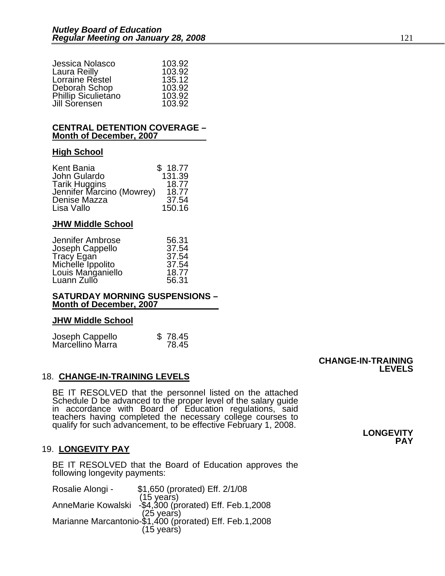| Jessica Nolasco            | 103.92 |
|----------------------------|--------|
| Laura Reilly               | 103.92 |
| Lorraine Réstel            | 135.12 |
| Deborah Schop              | 103.92 |
| <b>Phillip Siculietano</b> | 103.92 |
| Jill Sorensen              | 103.92 |

#### **CENTRAL DETENTION COVERAGE – Month of December, 2007**

#### **High School**

| Kent Bania                | \$18.77 |
|---------------------------|---------|
| John Gulardo              | 131.39  |
| <b>Tarik Huggins</b>      | 18.77   |
| Jennifer Marcino (Mowrey) | 18.77   |
| Denise Mazza              | 37.54   |
| Lisa Vallo                | 150.16  |

#### **JHW Middle School**

| Jennifer Ambrose  | 56.31 |
|-------------------|-------|
| Joseph Cappello   | 37.54 |
| <b>Tracy Egan</b> | 37.54 |
| Michelle Ippolito | 37.54 |
| Louis Manganiello | 18.77 |
| Luann Zullo       | 56.31 |

#### **SATURDAY MORNING SUSPENSIONS – Month of December, 2007**

#### **JHW Middle School**

| Joseph Cappello<br>Marcellino Marra | \$78.45 |
|-------------------------------------|---------|
|                                     | 78.45   |

#### 18. **CHANGE-IN-TRAINING LEVELS**

BE IT RESOLVED that the personnel listed on the attached Schedule D be advanced to the proper level of the salary guide<br>in accordance with Board of Education regulations, said<br>teachers having completed the necessary college courses to<br>qualify for such advancement, to be effectiv

#### 19. **LONGEVITY PAY**

BE IT RESOLVED that the Board of Education approves the following longevity payments:

| \$1,650 (prorated) Eff. 2/1/08                                        |
|-----------------------------------------------------------------------|
| (15 years)<br>AnneMarie Kowalski -\$4,300 (prorated) Eff. Feb.1,2008  |
|                                                                       |
| (25 years)<br>Marianne Marcantonio-\$1,400 (prorated) Eff. Feb.1,2008 |
|                                                                       |
| $(15 \text{ years})$                                                  |
|                                                                       |

#### **CHANGE-IN-TRAINING LEVELS**

**PAY**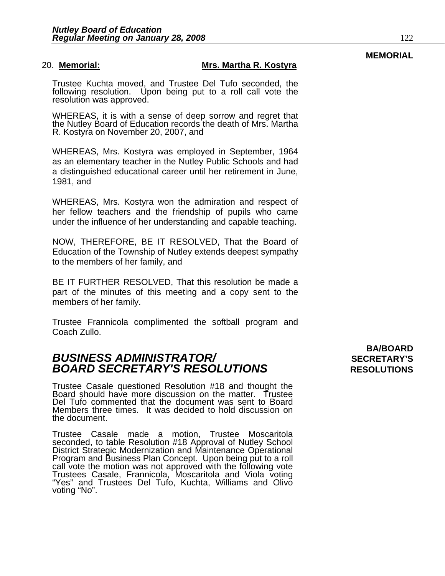#### 20. **Memorial: Mrs. Martha R. Kostyra**

Trustee Kuchta moved, and Trustee Del Tufo seconded, the following resolution. Upon being put to a roll call vote the resolution was approved.

WHEREAS, it is with a sense of deep sorrow and regret that the Nutley Board of Education records the death of Mrs. Martha R. Kostyra on November 20, 2007, and

WHEREAS, Mrs. Kostyra was employed in September, 1964 as an elementary teacher in the Nutley Public Schools and had a distinguished educational career until her retirement in June, 1981, and

WHEREAS, Mrs. Kostyra won the admiration and respect of her fellow teachers and the friendship of pupils who came under the influence of her understanding and capable teaching.

NOW, THEREFORE, BE IT RESOLVED, That the Board of Education of the Township of Nutley extends deepest sympathy to the members of her family, and

BE IT FURTHER RESOLVED, That this resolution be made a part of the minutes of this meeting and a copy sent to the members of her family.

Trustee Frannicola complimented the softball program and Coach Zullo.

### **BUSINESS ADMINISTRATOR/** *BUSINESS ADMINISTRATOR/* **BOARD SECRETARY'S RESOLUTIONS** RESOLUTIONS

Trustee Casale questioned Resolution #18 and thought the Board should have more discussion on the matter. Trustee Del Tufo commented that the document was sent to Board Members three times. It was decided to hold discussion on the document.

Trustee Casale made a motion, Trustee Moscaritola seconded, to table Resolution #18 Approval of Nutley School<br>District Strategic Modernization and Maintenance Operational<br>Program and Business Plan Concept. Upon being put to a roll Program and Business Plan Concept. Upon being put to a roll call vote the motion was not approved with the following vote Trustees Casale, Frannicola, Moscaritola and Viola voting "Yes" and Trustees Del Tufo, Kuchta, Williams and Olivo voting "No".

**BA/BOARD** 

### **MEMORIAL**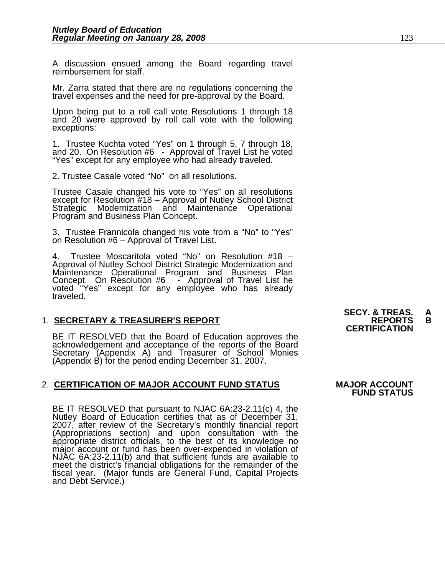A discussion ensued among the Board regarding travel reimbursement for staff.

Mr. Zarra stated that there are no regulations concerning the travel expenses and the need for pre-approval by the Board.

Upon being put to a roll call vote Resolutions 1 through 18 and 20 were approved by roll call vote with the following exceptions:

1. Trustee Kuchta voted "Yes" on 1 through 5, 7 through 18, and 20. On Resolution #6 - Approval of Travel List he voted "Yes" except for any employee who had already traveled.

2. Trustee Casale voted "No" on all resolutions.

Trustee Casale changed his vote to "Yes" on all resolutions except for Resolution #18 – Approval of Nutley School District Strategic Modernization and Maintenance Operational Program and Business Plan Concept.

3. Trustee Frannicola changed his vote from a "No" to "Yes" on Resolution #6 – Approval of Travel List.

4. Trustee Moscaritola voted "No" on Resolution #18 –<br>Approval of Nutley School District Strategic Modernization and Approval of Nutley School District Strategic Modernization and Maintenance Operational Program and Business Plan Concept. On Resolution #6 - Approval of Travel List he<br>voted "Yes" except for any employee who has already<br>traveled.

1. **SECRETARY & TREASURER'S REPORT**<br>**CERTIFICATION**<br>BE IT RESOLVED that the Board of Education approves the acknowledgement and acceptance of the reports of the Board<br>Secretary (Appendix A) and Treasurer of School Monies (Appendix B) for the period ending December 31, 2007.

#### 2. **CERTIFICATION OF MAJOR ACCOUNT FUND STATUS MAJOR ACCOUNT**

BE IT RESOLVED that pursuant to NJAC 6A:23-2.11(c) 4, the Nutley Board of Education certifies that as of December 31, 2007, after review of the Secretary's monthly financial report (Appropriations section) and upon consultation with the<br>appropriate district officials, to the best of its knowledge no<br>major account or fund has been over-expended in violation of<br>NJAC 6A:23-2.11(b) and that sufficient fu meet the district's financial obligations for the remainder of the fiscal year. (Major funds are General Fund, Capital Projects and Debt Service.)

# **SECY. & TREAS. A**

**FUND STATUS**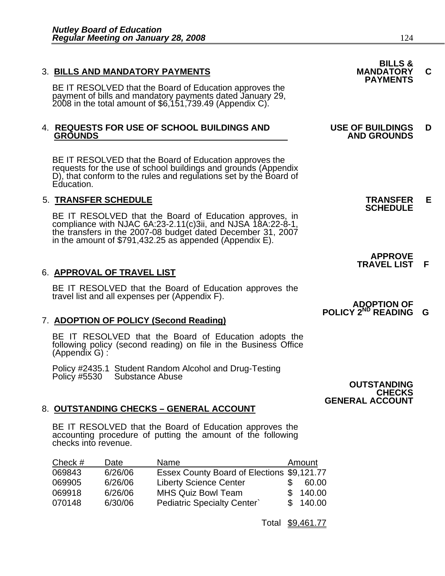3. BILLS AND MANDATORY PAYMENTS<br>
BE IT RESOLVED that the Board of Education approves the **PAYMENTS** payment of bills and mandatory payments dated January 29, 2008 in the total amount of \$6,151,739.49 (Appendix C).

# 4. **REQUESTS FOR USE OF SCHOOL BUILDINGS AND USE OF BUILDINGS D**

BE IT RESOLVED that the Board of Education approves the requests for the use of school buildings and grounds (Appendix D), that conform to the rules and regulations set by the Board of Education.

5. **TRANSFER SCHEDULE**<br>**BE IT RESOLVED that the Board of Education approves, in SCHEDULE**<br>**BE IT RESOLVED that the Board of Education approves, in** compliance with NJAC 6A:23-2.11(c)3ii, and NJSA 18A:22-8-1, the transfers in the 2007-08 budget dated December 31, 2007 in the amount of \$791,432.25 as appended (Appendix E).

#### 6. **APPROVAL OF TRAVEL LIST**

BE IT RESOLVED that the Board of Education approves the travel list and all expenses per (Appendix F).

#### 7. **ADOPTION OF POLICY (Second Reading)**

BE IT RESOLVED that the Board of Education adopts the following policy (second reading) on file in the Business Office (Appendix G) :

Policy #2435.1 Student Random Alcohol and Drug-Testing Policy #5530 Substance Abuse **OUTSTANDING**

#### 8. **OUTSTANDING CHECKS – GENERAL ACCOUNT**

BE IT RESOLVED that the Board of Education approves the accounting procedure of putting the amount of the following checks into revenue.

| Check $#$ | Date    | Name                                       | Amount   |
|-----------|---------|--------------------------------------------|----------|
| 069843    | 6/26/06 | Essex County Board of Elections \$9,121.77 |          |
| 069905    | 6/26/06 | <b>Liberty Science Center</b>              | 60.00    |
| 069918    | 6/26/06 | <b>MHS Quiz Bowl Team</b>                  | \$140.00 |
| 070148    | 6/30/06 | <b>Pediatric Specialty Center</b>          | \$140.00 |

Total \$9,461.77

| <b>BILLS &amp;</b> |  |
|--------------------|--|
| <b>IANDATORY</b>   |  |
| <b>DAVMENTO</b>    |  |

# **GROUNDS AND GROUNDS**

 **APPROVE TRAVEL LIST F**

#### *ADOPTION OF* **POLICY 2<sup>ND</sup> READING G**

**CHECKS GENERAL ACCOUNT**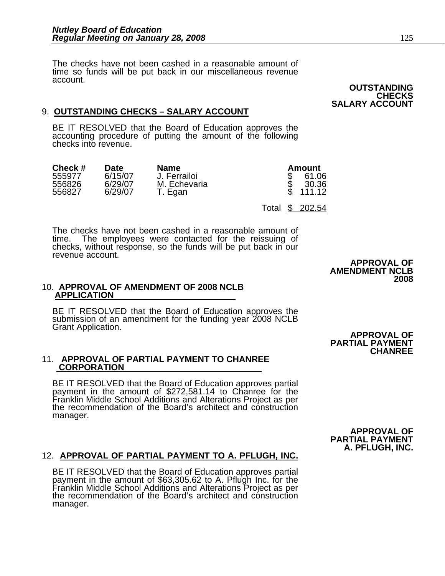The checks have not been cashed in a reasonable amount of time so funds will be put back in our miscellaneous revenue account.

### 9. **OUTSTANDING CHECKS – SALARY ACCOUNT**

BE IT RESOLVED that the Board of Education approves the accounting procedure of putting the amount of the following checks into revenue.

| Check #          | Date               | <b>Name</b>             | Amount                  |
|------------------|--------------------|-------------------------|-------------------------|
| 555977           | 6/15/07            | J. Ferrailoi            | 61.06                   |
| 556826<br>556827 | 6/29/07<br>6/29/07 | M. Echevaria<br>T. Egan | 30.36<br>111.12         |
|                  |                    |                         | - \$<br>202.54<br>Total |

The checks have not been cashed in a reasonable amount of time. The employees were contacted for the reissuing of checks, without response, so the funds will be put back in our revenue account.

#### 10. **APPROVAL OF AMENDMENT OF 2008 NCLB APPLICATION**

BE IT RESOLVED that the Board of Education approves the submission of an amendment for the funding year 2008 NCLB Grant Application.

# 11. **APPROVAL OF PARTIAL PAYMENT TO CHANREE CORPORATION**

BE IT RESOLVED that the Board of Education approves partial payment in the amount of \$272,581.14 to Chanree for the Franklin Middle School Additions and Alterations Project as per<br>the recommendation of the Board's architect and construction the recommendation of the Board's architect and construction manager.

 **PARTIAL PAYMENT CHANREE** 

 **APPROVAL OF**

 **APPROVAL OF PARTIAL PAYMENT A. PFLUGH, INC.** 

# 12. **APPROVAL OF PARTIAL PAYMENT TO A. PFLUGH, INC.** BE IT RESOLVED that the Board of Education approves partial

payment in the amount of \$63,305.62 to A. Pflugh Inc. for the Franklin Middle School Additions and Alterations Project as per<br>the recommendation of the Board's architect and construction manager.

 **APPROVAL OF AMENDMENT NCLB 2008** 

 **OUTSTANDING CHECKS SALARY ACCOUNT**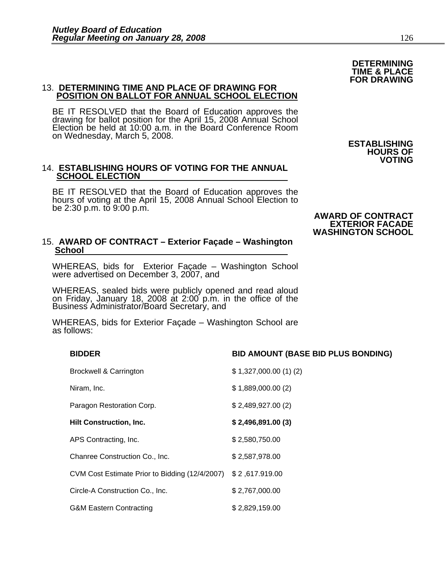#### 13. **DETERMINING TIME AND PLACE OF DRAWING FOR POSITION ON BALLOT FOR ANNUAL SCHOOL ELECTION**

BE IT RESOLVED that the Board of Education approves the drawing for ballot position for the April 15, 2008 Annual School Election be held at 10:00 a.m. in the Board Conference Room on Wednesday, March 5, 2008. **ESTABLISHING** 

#### 14. **ESTABLISHING HOURS OF VOTING FOR THE ANNUAL SCHOOL ELECTION**

BE IT RESOLVED that the Board of Education approves the hours of voting at the April 15, 2008 Annual School Election to be 2:30 p.m. to 9:00 p.m.

#### 15. **AWARD OF CONTRACT – Exterior Façade – Washington School**

WHEREAS, bids for Exterior Façade – Washington School were advertised on December 3, 2007, and

WHEREAS, sealed bids were publicly opened and read aloud on Friday, January 18, 2008 at 2:00 p.m. in the office of the Business Administrator/Board Secretary, and

WHEREAS, bids for Exterior Façade – Washington School are as follows:

| <b>Brockwell &amp; Carrington</b>              | \$1,327,000.00(1)(2) |
|------------------------------------------------|----------------------|
| Niram, Inc.                                    | \$1,889,000.00(2)    |
| Paragon Restoration Corp.                      | \$2,489,927.00(2)    |
| <b>Hilt Construction, Inc.</b>                 | \$2,496,891.00(3)    |
| APS Contracting, Inc.                          | \$2,580,750.00       |
| Chanree Construction Co., Inc.                 | \$2,587,978.00       |
| CVM Cost Estimate Prior to Bidding (12/4/2007) | \$2,617.919.00       |
| Circle-A Construction Co., Inc.                | \$2,767,000.00       |
| <b>G&amp;M Eastern Contracting</b>             | \$2,829,159.00       |

### **BIDDER BID AMOUNT (BASE BID PLUS BONDING)**

#### be 2:30 p.m. to 9:00 p.m. **AWARD OF CONTRACT EXTERIOR FACADE WASHINGTON SCHOOL**

**HOURS OF VOTING**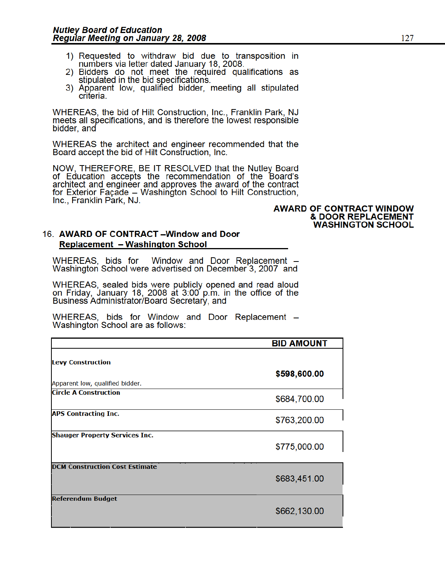- 1) Requested to withdraw bid due to transposition in numbers via letter dated January 18, 2008.
- 2) Bidders do not meet the required qualifications as stipulated in the bid specifications.
- 3) Apparent low, qualified bidder, meeting all stipulated criteria.

WHEREAS, the bid of Hilt Construction, Inc., Franklin Park, NJ meets all specifications, and is therefore the lowest responsible bidder, and

WHEREAS the architect and engineer recommended that the Board accept the bid of Hilt Construction, Inc.

NOW, THEREFORE, BE IT RESOLVED that the Nutley Board of Education accepts the recommendation of the Board's architect and engineer and approves the award of the contract for Exterior Façade - Washington School to Hilt Construction, Inc., Franklin Park, NJ.

#### **AWARD OF CONTRACT WINDOW & DOOR REPLACEMENT WASHINGTON SCHOOL**

#### 16. AWARD OF CONTRACT-Window and Door **Replacement - Washington School**

WHEREAS, bids for Window and Door Replacement -Washington School were advertised on December 3, 2007 and

WHEREAS, sealed bids were publicly opened and read aloud<br>on Friday, January 18, 2008 at 3:00 p.m. in the office of the Business Administrator/Board Secretary, and

WHEREAS, bids for Window and Door Replacement – Washington School are as follows:

|                                       | <b>BID AMOUNT</b> |
|---------------------------------------|-------------------|
| <b>Levy Construction</b>              |                   |
| Apparent low, qualified bidder.       | \$598,600.00      |
| <b>Circle A Construction</b>          | \$684,700.00      |
| <b>APS Contracting Inc.</b>           | \$763,200.00      |
| <b>Shauger Property Services Inc.</b> | \$775,000.00      |
| <b>DCM Construction Cost Estimate</b> |                   |
|                                       | \$683,451.00      |
| <b>Referendum Budget</b>              | \$662,130.00      |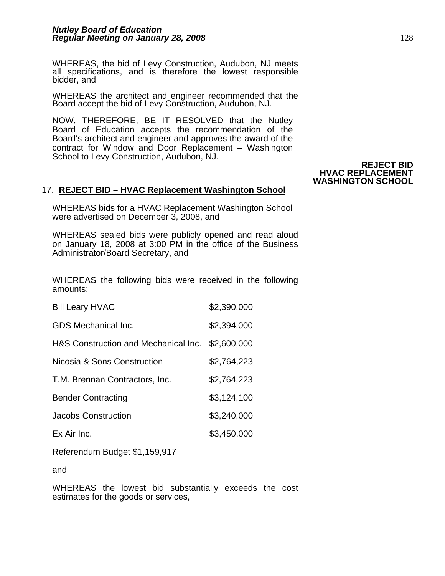WHEREAS, the bid of Levy Construction, Audubon, NJ meets all specifications, and is therefore the lowest responsible bidder, and

WHEREAS the architect and engineer recommended that the Board accept the bid of Levy Construction, Audubon, NJ.

NOW, THEREFORE, BE IT RESOLVED that the Nutley Board of Education accepts the recommendation of the Board's architect and engineer and approves the award of the contract for Window and Door Replacement – Washington School to Levy Construction, Audubon, NJ.

**REJECT BID HVAC REPLACEMENT WASHINGTON SCHOOL** 

#### 17. **REJECT BID – HVAC Replacement Washington School**

WHEREAS bids for a HVAC Replacement Washington School were advertised on December 3, 2008, and

WHEREAS sealed bids were publicly opened and read aloud on January 18, 2008 at 3:00 PM in the office of the Business Administrator/Board Secretary, and

WHEREAS the following bids were received in the following amounts:

| <b>Bill Leary HVAC</b>               | \$2,390,000 |
|--------------------------------------|-------------|
| <b>GDS</b> Mechanical Inc.           | \$2,394,000 |
| H&S Construction and Mechanical Inc. | \$2,600,000 |
| Nicosia & Sons Construction          | \$2,764,223 |
| T.M. Brennan Contractors, Inc.       | \$2,764,223 |
| <b>Bender Contracting</b>            | \$3,124,100 |
| Jacobs Construction                  | \$3,240,000 |
| Ex Air Inc.                          | \$3,450,000 |

Referendum Budget \$1,159,917

and

WHEREAS the lowest bid substantially exceeds the cost estimates for the goods or services,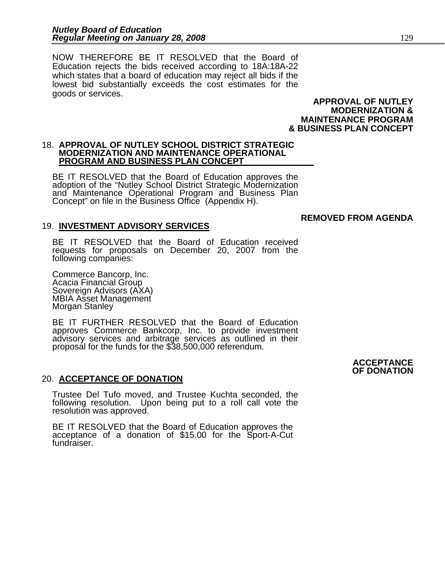NOW THEREFORE BE IT RESOLVED that the Board of Education rejects the bids received according to 18A:18A-22 which states that a board of education may reject all bids if the lowest bid substantially exceeds the cost estimates for the goods or services.

 **APPROVAL OF NUTLEY MODERNIZATION & MAINTENANCE PROGRAM & BUSINESS PLAN CONCEPT**

 **REMOVED FROM AGENDA** 

#### 18. **APPROVAL OF NUTLEY SCHOOL DISTRICT STRATEGIC MODERNIZATION AND MAINTENANCE OPERATIONAL PROGRAM AND BUSINESS PLAN CONCEPT**

BE IT RESOLVED that the Board of Education approves the adoption of the "Nutley School District Strategic Modernization and Maintenance Operational Program and Business Plan Concept" on file in the Business Office (Appendix H).

#### 19. **INVESTMENT ADVISORY SERVICES**

BE IT RESOLVED that the Board of Education received requests for proposals on December 20, 2007 from the following companies:

Commerce Bancorp, Inc. Acacia Financial Group Sovereign Advisors (AXA) MBIA Asset Management Morgan Stanley

BE IT FURTHER RESOLVED that the Board of Education approves Commerce Bankcorp, Inc. to provide investment advisory services and arbitrage services as outlined in their proposal for the funds for the \$38,500,000 referendum.

#### 20. **ACCEPTANCE OF DONATION**

Trustee Del Tufo moved, and Trustee Kuchta seconded, the following resolution. Upon being put to a roll call vote the resolution was approved.

BE IT RESOLVED that the Board of Education approves the acceptance of a donation of \$15.00 for the Sport-A-Cut fundraiser.

#### **ACCEPTANCE OF DONATION**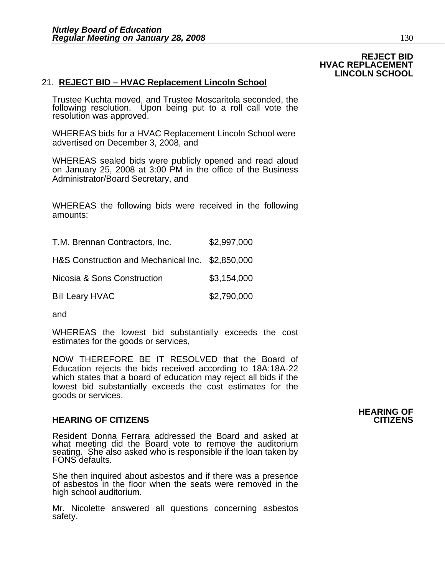**REJECT BID HVAC REPLACEMENT LINCOLN SCHOOL**

#### 21. **REJECT BID – HVAC Replacement Lincoln School**

Trustee Kuchta moved, and Trustee Moscaritola seconded, the following resolution. Upon being put to a roll call vote the resolution was approved.

WHEREAS bids for a HVAC Replacement Lincoln School were advertised on December 3, 2008, and

WHEREAS sealed bids were publicly opened and read aloud on January 25, 2008 at 3:00 PM in the office of the Business Administrator/Board Secretary, and

WHEREAS the following bids were received in the following amounts:

| T.M. Brennan Contractors, Inc.                   | \$2,997,000 |
|--------------------------------------------------|-------------|
| H&S Construction and Mechanical Inc. \$2,850,000 |             |
| Nicosia & Sons Construction                      | \$3,154,000 |
| <b>Bill Leary HVAC</b>                           | \$2,790,000 |

and

WHEREAS the lowest bid substantially exceeds the cost estimates for the goods or services,

NOW THEREFORE BE IT RESOLVED that the Board of Education rejects the bids received according to 18A:18A-22 which states that a board of education may reject all bids if the lowest bid substantially exceeds the cost estimates for the goods or services.

#### **HEARING OF CITIZENS CITIZENS**

Resident Donna Ferrara addressed the Board and asked at what meeting did the Board vote to remove the auditorium seating. She also asked who is responsible if the loan taken by FONS defaults.

She then inquired about asbestos and if there was a presence of asbestos in the floor when the seats were removed in the high school auditorium.

Mr. Nicolette answered all questions concerning asbestos safety.

# **HEARING OF**